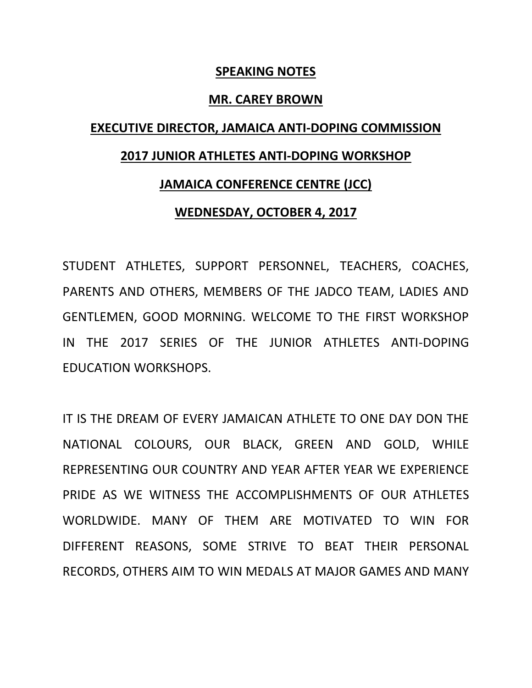## **SPEAKING NOTES**

#### **MR. CAREY BROWN**

# **EXECUTIVE DIRECTOR, JAMAICA ANTI-DOPING COMMISSION 2017 JUNIOR ATHLETES ANTI-DOPING WORKSHOP**

## **JAMAICA CONFERENCE CENTRE (JCC)**

## **WEDNESDAY, OCTOBER 4, 2017**

STUDENT ATHLETES, SUPPORT PERSONNEL, TEACHERS, COACHES, PARENTS AND OTHERS, MEMBERS OF THE JADCO TEAM, LADIES AND GENTLEMEN, GOOD MORNING. WELCOME TO THE FIRST WORKSHOP IN THE 2017 SERIES OF THE JUNIOR ATHLETES ANTI-DOPING EDUCATION WORKSHOPS.

IT IS THE DREAM OF EVERY JAMAICAN ATHLETE TO ONE DAY DON THE NATIONAL COLOURS, OUR BLACK, GREEN AND GOLD, WHILE REPRESENTING OUR COUNTRY AND YEAR AFTER YEAR WE EXPERIENCE PRIDE AS WE WITNESS THE ACCOMPLISHMENTS OF OUR ATHLETES WORLDWIDE. MANY OF THEM ARE MOTIVATED TO WIN FOR DIFFERENT REASONS, SOME STRIVE TO BEAT THEIR PERSONAL RECORDS, OTHERS AIM TO WIN MEDALS AT MAJOR GAMES AND MANY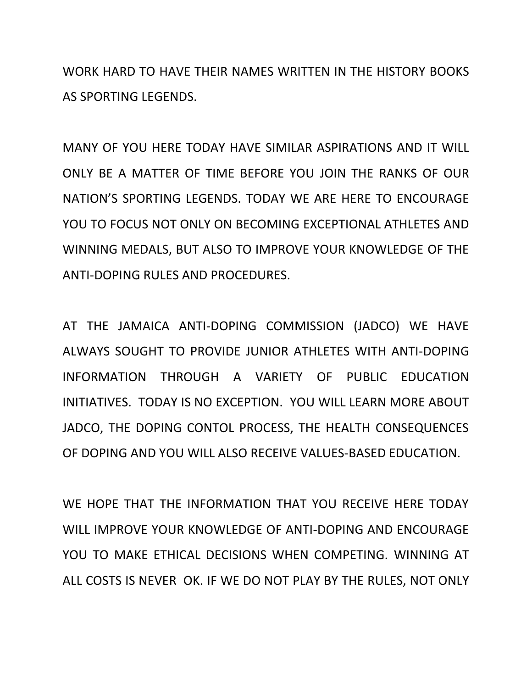WORK HARD TO HAVE THEIR NAMES WRITTEN IN THE HISTORY BOOKS AS SPORTING LEGENDS.

MANY OF YOU HERE TODAY HAVE SIMILAR ASPIRATIONS AND IT WILL ONLY BE A MATTER OF TIME BEFORE YOU JOIN THE RANKS OF OUR NATION'S SPORTING LEGENDS. TODAY WE ARE HERE TO ENCOURAGE YOU TO FOCUS NOT ONLY ON BECOMING EXCEPTIONAL ATHLETES AND WINNING MEDALS, BUT ALSO TO IMPROVE YOUR KNOWLEDGE OF THE ANTI-DOPING RULES AND PROCEDURES.

AT THE JAMAICA ANTI-DOPING COMMISSION (JADCO) WE HAVE ALWAYS SOUGHT TO PROVIDE JUNIOR ATHLETES WITH ANTI-DOPING INFORMATION THROUGH A VARIETY OF PUBLIC EDUCATION INITIATIVES. TODAY IS NO EXCEPTION. YOU WILL LEARN MORE ABOUT JADCO, THE DOPING CONTOL PROCESS, THE HEALTH CONSEQUENCES OF DOPING AND YOU WILL ALSO RECEIVE VALUES-BASED EDUCATION.

WE HOPE THAT THE INFORMATION THAT YOU RECEIVE HERE TODAY WILL IMPROVE YOUR KNOWLEDGE OF ANTI-DOPING AND ENCOURAGE YOU TO MAKE ETHICAL DECISIONS WHEN COMPETING. WINNING AT ALL COSTS IS NEVER OK. IF WE DO NOT PLAY BY THE RULES, NOT ONLY